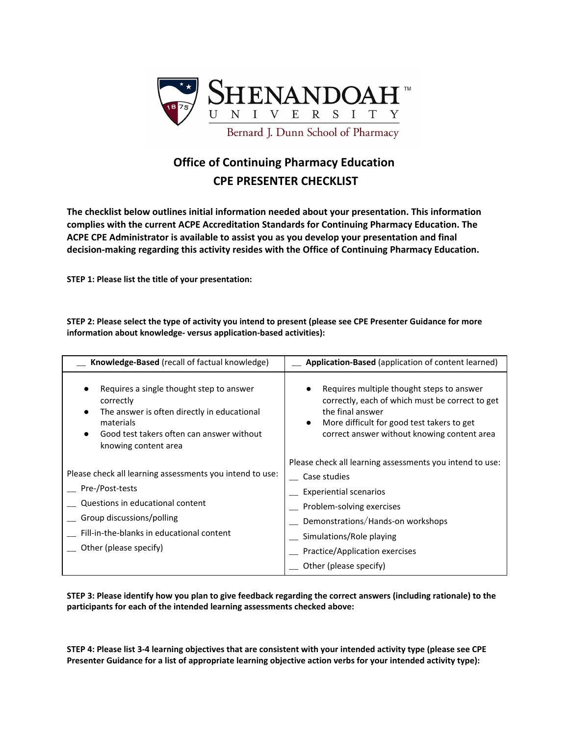

## **Office of Continuing Pharmacy Education CPE PRESENTER CHECKLIST**

**The checklist below outlines initial information needed about your presentation. This information complies with the current ACPE Accreditation Standards for Continuing Pharmacy Education. The ACPE CPE Administrator is available to assist you as you develop your presentation and final decision-making regarding this activity resides with the Office of Continuing Pharmacy Education.**

**STEP 1: Please list the title of your presentation:**

STEP 2: Please select the type of activity you intend to present (please see CPE Presenter Guidance for more **information about knowledge- versus application-based activities):**

| Knowledge-Based (recall of factual knowledge)                                                                                                                                                                                         | Application-Based (application of content learned)                                                                                                                                                                                                                  |
|---------------------------------------------------------------------------------------------------------------------------------------------------------------------------------------------------------------------------------------|---------------------------------------------------------------------------------------------------------------------------------------------------------------------------------------------------------------------------------------------------------------------|
| Requires a single thought step to answer<br>correctly<br>The answer is often directly in educational<br>materials<br>Good test takers often can answer without<br>knowing content area                                                | Requires multiple thought steps to answer<br>correctly, each of which must be correct to get<br>the final answer<br>More difficult for good test takers to get<br>$\bullet$<br>correct answer without knowing content area                                          |
| Please check all learning assessments you intend to use:<br>__ Pre-/Post-tests<br>Questions in educational content<br><sub>_</sub> Group discussions/polling<br>Fill-in-the-blanks in educational content<br>_ Other (please specify) | Please check all learning assessments you intend to use:<br>Case studies<br><b>Experiential scenarios</b><br>Problem-solving exercises<br>Demonstrations/Hands-on workshops<br>Simulations/Role playing<br>Practice/Application exercises<br>Other (please specify) |

STEP 3: Please identify how you plan to give feedback regarding the correct answers (including rationale) to the **participants for each of the intended learning assessments checked above:**

STEP 4: Please list 3-4 learning objectives that are consistent with your intended activity type (please see CPE **Presenter Guidance for a list of appropriate learning objective action verbs for your intended activity type):**